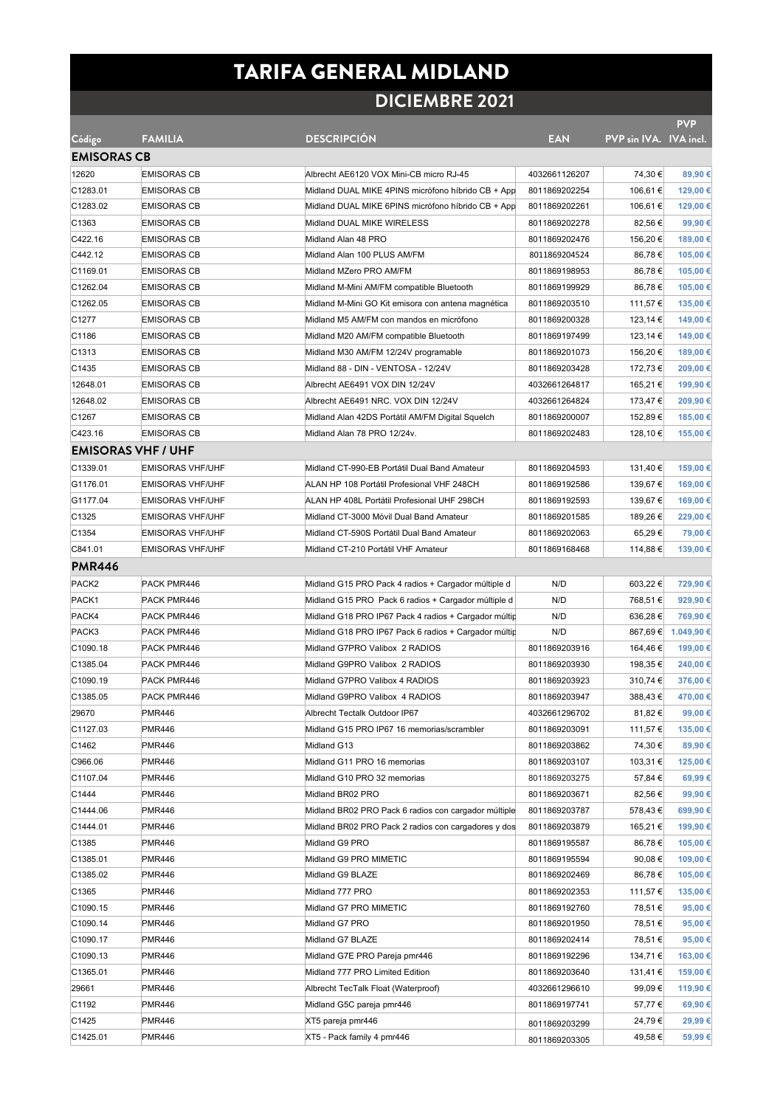## TARIFA GENERAL MIDLAND

## **DICIEMBRE 2021**

**PVP**  n IVA. IVA inc

| Código                    | <b>FAMILIA</b>          | <b>DESCRIPCION</b>                                   | <b>EAN</b>    | PVP sin IVA. IVA incl. |                     |
|---------------------------|-------------------------|------------------------------------------------------|---------------|------------------------|---------------------|
| <b>EMISORAS CB</b>        |                         |                                                      |               |                        |                     |
| 12620                     | <b>EMISORAS CB</b>      | Albrecht AE6120 VOX Mini-CB micro RJ-45              | 4032661126207 | 74,30 €                | 89,90 €             |
| C1283.01                  | <b>EMISORAS CB</b>      | Midland DUAL MIKE 4PINS micrófono híbrido CB + App   | 8011869202254 | 106,61 €               | 129,00 €            |
| C1283.02                  | <b>EMISORAS CB</b>      | Midland DUAL MIKE 6PINS micrófono híbrido CB + App   | 8011869202261 | 106,61 €               | 129,00 €            |
| C1363                     | <b>EMISORAS CB</b>      | Midland DUAL MIKE WIRELESS                           | 8011869202278 | 82,56 €                | 99,90€              |
| C422.16                   | <b>EMISORAS CB</b>      | Midland Alan 48 PRO                                  | 8011869202476 | 156,20 €               | 189,00 €            |
| C442.12                   | <b>EMISORAS CB</b>      | Midland Alan 100 PLUS AM/FM                          | 8011869204524 | 86,78€                 | 105,00 €            |
| C1169.01                  | <b>EMISORAS CB</b>      | Midland MZero PRO AM/FM                              | 8011869198953 | 86,78€                 | 105,00 €            |
| C1262.04                  | <b>EMISORAS CB</b>      | Midland M-Mini AM/FM compatible Bluetooth            | 8011869199929 | 86,78€                 | 105,00 €            |
| C1262.05                  | <b>EMISORAS CB</b>      | Midland M-Mini GO Kit emisora con antena magnética   | 8011869203510 | 111,57 €               | 135,00 €            |
| C1277                     | <b>EMISORAS CB</b>      | Midland M5 AM/FM con mandos en micrófono             | 8011869200328 | 123,14 €               | 149,00 €            |
| C1186                     | <b>EMISORAS CB</b>      | Midland M20 AM/FM compatible Bluetooth               | 8011869197499 | 123,14 €               | 149,00 €            |
| C1313                     | <b>EMISORAS CB</b>      | Midland M30 AM/FM 12/24V programable                 | 8011869201073 | 156,20 €               | 189,00 €            |
| C1435                     | <b>EMISORAS CB</b>      | Midland 88 - DIN - VENTOSA - 12/24V                  | 8011869203428 | 172,73 €               | 209,00 €            |
| 12648.01                  | <b>EMISORAS CB</b>      | Albrecht AE6491 VOX DIN 12/24V                       | 4032661264817 | 165,21 €               | 199,90 €            |
| 12648.02                  | <b>EMISORAS CB</b>      | Albrecht AE6491 NRC. VOX DIN 12/24V                  | 4032661264824 | 173,47 €               | 209,90 €            |
| C1267                     | <b>EMISORAS CB</b>      | Midland Alan 42DS Portátil AM/FM Digital Squelch     | 8011869200007 | 152,89€                | 185,00 €            |
| C423.16                   | <b>EMISORAS CB</b>      | Midland Alan 78 PRO 12/24v.                          | 8011869202483 | 128,10 €               | 155,00 €            |
| <b>EMISORAS VHF / UHF</b> |                         |                                                      |               |                        |                     |
| C1339.01                  | <b>EMISORAS VHF/UHF</b> | Midland CT-990-EB Portátil Dual Band Amateur         | 8011869204593 | 131,40 €               | 159,00 €            |
| G1176.01                  | <b>EMISORAS VHF/UHF</b> | ALAN HP 108 Portátil Profesional VHF 248CH           | 8011869192586 | 139,67 €               | 169,00 €            |
| G1177.04                  | <b>EMISORAS VHF/UHF</b> | ALAN HP 408L Portátil Profesional UHF 298CH          | 8011869192593 | 139,67 €               | 169,00 €            |
| C1325                     | <b>EMISORAS VHF/UHF</b> | Midland CT-3000 Móvil Dual Band Amateur              | 8011869201585 | 189,26 €               | 229,00 €            |
| C1354                     | <b>EMISORAS VHF/UHF</b> | Midland CT-590S Portátil Dual Band Amateur           | 8011869202063 | 65,29€                 | 79,00 €             |
| C841.01                   | <b>EMISORAS VHF/UHF</b> | Midland CT-210 Portátil VHF Amateur                  | 8011869168468 | 114,88€                | 139,00 €            |
| <b>PMR446</b>             |                         |                                                      |               |                        |                     |
| PACK <sub>2</sub>         | PACK PMR446             | Midland G15 PRO Pack 4 radios + Cargador múltiple d  | N/D           | 603,22 €               | 729,90 €            |
| PACK1                     | PACK PMR446             | Midland G15 PRO Pack 6 radios + Cargador múltiple d  | N/D           | 768,51€                | 929,90 €            |
| PACK4                     | PACK PMR446             | Midland G18 PRO IP67 Pack 4 radios + Cargador múltip | N/D           | 636,28€                | 769,90 €            |
| PACK3                     | PACK PMR446             | Midland G18 PRO IP67 Pack 6 radios + Cargador múltip | N/D           |                        | 867,69 € 1.049,90 € |
| C1090.18                  | PACK PMR446             | Midland G7PRO Valibox 2 RADIOS                       | 8011869203916 | 164,46 €               | 199,00 €            |
| C1385.04                  | PACK PMR446             | Midland G9PRO Valibox 2 RADIOS                       | 8011869203930 | 198,35 €               | 240,00 €            |
| C1090.19                  | PACK PMR446             | Midland G7PRO Valibox 4 RADIOS                       | 8011869203923 | 310,74 €               | 376,00 €            |
| C1385.05                  | PACK PMR446             | Midland G9PRO Valibox 4 RADIOS                       | 8011869203947 | 388,43€                | 470,00 €            |
| 29670                     | <b>PMR446</b>           | Albrecht Tectalk Outdoor IP67                        | 4032661296702 | 81,82 €                | 99,00 €             |
| C1127.03                  | <b>PMR446</b>           | Midland G15 PRO IP67 16 memorias/scrambler           | 8011869203091 | 111,57 €               | 135,00 €            |
| C1462                     | <b>PMR446</b>           | Midland G13                                          | 8011869203862 | 74,30 €                | 89,90 €             |
| C966.06                   | <b>PMR446</b>           | Midland G11 PRO 16 memorias                          | 8011869203107 | 103,31 €               | 125,00 €            |
| C1107.04                  | <b>PMR446</b>           | Midland G10 PRO 32 memorias                          | 8011869203275 | 57,84 €                | 69,99€              |
| C1444                     | <b>PMR446</b>           | Midland BR02 PRO                                     | 8011869203671 | 82,56 €                | 99,90€              |
| C1444.06                  | <b>PMR446</b>           | Midland BR02 PRO Pack 6 radios con cargador múltiple | 8011869203787 | 578,43€                | 699,90 €            |
| C1444.01                  | <b>PMR446</b>           | Midland BR02 PRO Pack 2 radios con cargadores y dos  | 8011869203879 | 165,21 €               | 199,90 €            |
| C1385                     | <b>PMR446</b>           | Midland G9 PRO                                       | 8011869195587 | 86,78€                 | 105,00 €            |
| C1385.01                  | <b>PMR446</b>           | Midland G9 PRO MIMETIC                               | 8011869195594 | 90,08€                 | 109,00 €            |
| C1385.02                  | <b>PMR446</b>           | Midland G9 BLAZE                                     | 8011869202469 | 86,78€                 | 105,00 €            |
| C1365                     | <b>PMR446</b>           | Midland 777 PRO                                      | 8011869202353 | 111,57 €               | 135,00 €            |
| C1090.15                  | <b>PMR446</b>           | Midland G7 PRO MIMETIC                               | 8011869192760 | 78,51 €                | 95,00 €             |
| C1090.14                  | <b>PMR446</b>           | Midland G7 PRO                                       | 8011869201950 | 78,51 €                | 95,00 €             |
| C1090.17                  | <b>PMR446</b>           | Midland G7 BLAZE                                     | 8011869202414 | 78,51 €                | 95,00 €             |
| C1090.13                  | <b>PMR446</b>           | Midland G7E PRO Pareja pmr446                        | 8011869192296 | 134,71 €               | 163,00 €            |
| C1365.01                  | <b>PMR446</b>           | Midland 777 PRO Limited Edition                      | 8011869203640 | 131,41 €               | 159,00 €            |
| 29661                     | <b>PMR446</b>           | Albrecht TecTalk Float (Waterproof)                  | 4032661296610 | 99,09€                 | 119,90 €            |
| C1192                     | <b>PMR446</b>           | Midland G5C pareja pmr446                            | 8011869197741 | 57,77€                 | 69,90 €             |
| C1425                     | <b>PMR446</b>           | XT5 pareja pmr446                                    | 8011869203299 | 24,79€                 | 29,99€              |
| C1425.01                  | <b>PMR446</b>           | XT5 - Pack family 4 pmr446                           | 8011869203305 | 49,58€                 | 59,99€              |
|                           |                         |                                                      |               |                        |                     |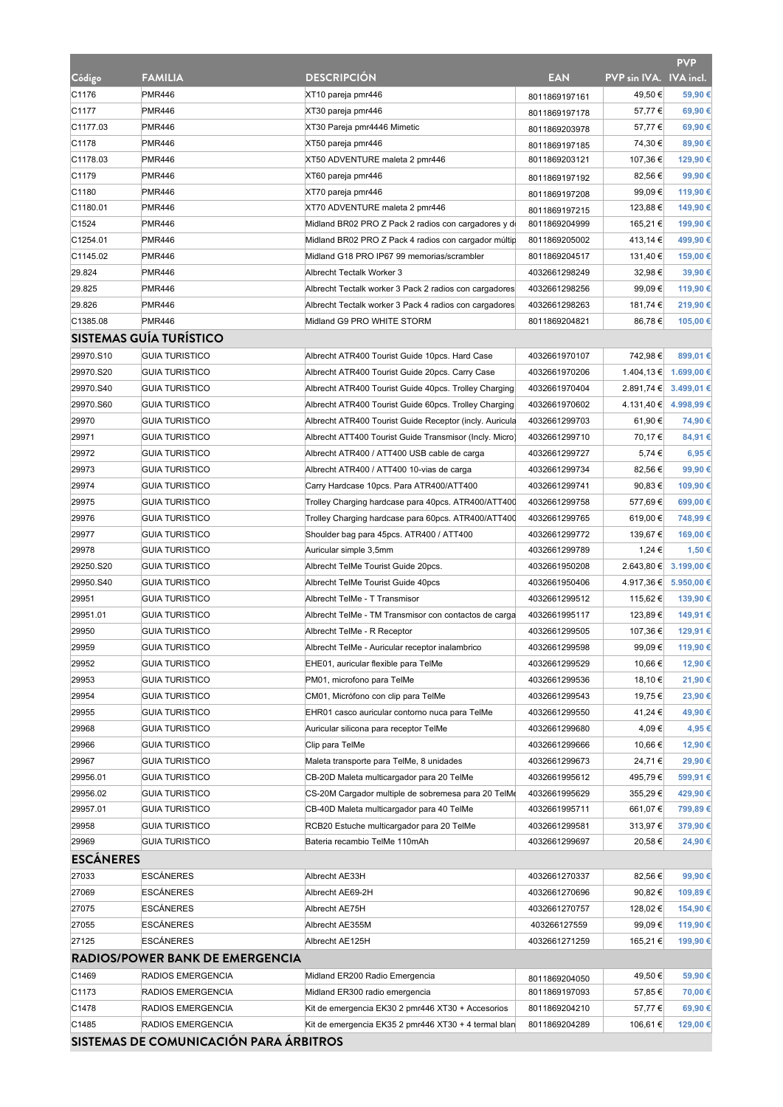|                  |                                        |                                                         |               |                        | <b>PVP</b>            |
|------------------|----------------------------------------|---------------------------------------------------------|---------------|------------------------|-----------------------|
| Código           | <b>FAMILIA</b>                         | <b>DESCRIPCION</b>                                      | <b>EAN</b>    | PVP sin IVA. IVA incl. |                       |
| C1176            | <b>PMR446</b>                          | XT10 pareja pmr446                                      | 8011869197161 | 49,50€                 | 59,90€                |
| C1177            | <b>PMR446</b>                          | XT30 pareja pmr446                                      | 8011869197178 | 57,77€                 | 69,90€                |
| C1177.03         | <b>PMR446</b>                          | XT30 Pareja pmr4446 Mimetic                             | 8011869203978 | 57,77€                 | 69,90€                |
| C1178            | <b>PMR446</b>                          | XT50 pareja pmr446                                      | 8011869197185 | 74,30 €                | 89,90€                |
| C1178.03         | <b>PMR446</b>                          | XT50 ADVENTURE maleta 2 pmr446                          | 8011869203121 | 107,36 €               | 129,90 €              |
| C1179            | <b>PMR446</b>                          | XT60 pareja pmr446                                      | 8011869197192 | 82,56 €                | 99,90€                |
| C1180            | <b>PMR446</b>                          | XT70 pareja pmr446                                      | 8011869197208 | 99,09€                 | 119,90 €              |
| C1180.01         | <b>PMR446</b>                          | XT70 ADVENTURE maleta 2 pmr446                          | 8011869197215 | 123,88 €               | 149,90 €              |
| C1524            | <b>PMR446</b>                          | Midland BR02 PRO Z Pack 2 radios con cargadores y de    | 8011869204999 | 165,21 €               | 199,90 €              |
| C1254.01         | <b>PMR446</b>                          | Midland BR02 PRO Z Pack 4 radios con cargador múltip    | 8011869205002 | 413,14 €               | 499,90€               |
| C1145.02         | <b>PMR446</b>                          | Midland G18 PRO IP67 99 memorias/scrambler              | 8011869204517 | 131,40 €               | 159,00 €              |
| 29.824           | <b>PMR446</b>                          | Albrecht Tectalk Worker 3                               | 4032661298249 | 32,98€                 | 39,90 €               |
| 29.825           | <b>PMR446</b>                          | Albrecht Tectalk worker 3 Pack 2 radios con cargadores  | 4032661298256 | 99,09€                 | 119,90 €              |
| 29.826           | <b>PMR446</b>                          | Albrecht Tectalk worker 3 Pack 4 radios con cargadores  | 4032661298263 | 181,74 €               | 219,90€               |
| C1385.08         | <b>PMR446</b>                          | Midland G9 PRO WHITE STORM                              | 8011869204821 | 86,78€                 | 105,00€               |
|                  | <b>SISTEMAS GUÍA TURÍSTICO</b>         |                                                         |               |                        |                       |
| 29970.S10        | <b>GUIA TURISTICO</b>                  | Albrecht ATR400 Tourist Guide 10pcs. Hard Case          | 4032661970107 | 742,98€                | 899,01€               |
| 29970.S20        | <b>GUIA TURISTICO</b>                  | Albrecht ATR400 Tourist Guide 20pcs. Carry Case         | 4032661970206 |                        | 1.404,13 € 1.699,00 € |
| 29970.S40        | <b>GUIA TURISTICO</b>                  | Albrecht ATR400 Tourist Guide 40pcs. Trolley Charging   | 4032661970404 |                        | 2.891,74 € 3.499,01 € |
| 29970.S60        | <b>GUIA TURISTICO</b>                  | Albrecht ATR400 Tourist Guide 60pcs. Trolley Charging   | 4032661970602 |                        | 4.131,40 € 4.998,99 € |
| 29970            | <b>GUIA TURISTICO</b>                  | Albrecht ATR400 Tourist Guide Receptor (incly. Auricula | 4032661299703 | 61,90 €                | 74,90 €               |
| 29971            | <b>GUIA TURISTICO</b>                  | Albrecht ATT400 Tourist Guide Transmisor (Incly. Micro) | 4032661299710 | 70,17€                 | 84,91€                |
| 29972            | <b>GUIA TURISTICO</b>                  | Albrecht ATR400 / ATT400 USB cable de carga             | 4032661299727 | 5,74€                  | 6,95€                 |
| 29973            | <b>GUIA TURISTICO</b>                  | Albrecht ATR400 / ATT400 10-vias de carga               | 4032661299734 | 82,56 €                | 99,90€                |
| 29974            | <b>GUIA TURISTICO</b>                  | Carry Hardcase 10pcs. Para ATR400/ATT400                | 4032661299741 | 90,83 €                | 109,90€               |
| 29975            | <b>GUIA TURISTICO</b>                  | Trolley Charging hardcase para 40pcs. ATR400/ATT400     | 4032661299758 | 577,69€                | 699,00€               |
| 29976            | <b>GUIA TURISTICO</b>                  | Trolley Charging hardcase para 60pcs. ATR400/ATT400     | 4032661299765 | 619,00 €               | 748,99€               |
| 29977            | <b>GUIA TURISTICO</b>                  | Shoulder bag para 45pcs. ATR400 / ATT400                | 4032661299772 | 139,67 €               | 169,00 €              |
| 29978            | <b>GUIA TURISTICO</b>                  | Auricular simple 3,5mm                                  | 4032661299789 | 1,24 €                 | 1,50 €                |
| 29250.S20        | <b>GUIA TURISTICO</b>                  | Albrecht TelMe Tourist Guide 20pcs.                     | 4032661950208 | 2.643,80 €             | 3.199,00 €            |
| 29950.S40        | <b>GUIA TURISTICO</b>                  | Albrecht TelMe Tourist Guide 40pcs                      | 4032661950406 |                        | 4.917,36 € 5.950,00 € |
| 29951            | <b>GUIA TURISTICO</b>                  | Albrecht TelMe - T Transmisor                           | 4032661299512 | 115,62 €               | 139,90€               |
| 29951.01         | <b>GUIA TURISTICO</b>                  | Albrecht TelMe - TM Transmisor con contactos de carga   | 4032661995117 | 123,89€                | 149,91 €              |
| 29950            | <b>GUIA TURISTICO</b>                  | Albrecht TelMe - R Receptor                             | 4032661299505 | 107,36 €               | 129,91 €              |
| 29959            | <b>GUIA TURISTICO</b>                  | Albrecht TelMe - Auricular receptor inalambrico         | 4032661299598 | 99,09€                 | 119,90 €              |
| 29952            | <b>GUIA TURISTICO</b>                  | EHE01, auricular flexible para TelMe                    | 4032661299529 | 10,66 €                | 12,90 €               |
| 29953            | <b>GUIA TURISTICO</b>                  | PM01, microfono para TelMe                              | 4032661299536 | 18,10 €                | 21,90 €               |
| 29954            | <b>GUIA TURISTICO</b>                  | CM01, Micrófono con clip para TelMe                     | 4032661299543 | 19,75 €                | 23,90 €               |
| 29955            | <b>GUIA TURISTICO</b>                  | EHR01 casco auricular contorno nuca para TelMe          | 4032661299550 | 41,24 €                | 49,90 €               |
| 29968            | <b>GUIA TURISTICO</b>                  | Auricular silicona para receptor TelMe                  | 4032661299680 | 4,09€                  | 4,95 €                |
| 29966            | <b>GUIA TURISTICO</b>                  | Clip para TelMe                                         | 4032661299666 | 10,66 €                | 12,90 €               |
| 29967            | <b>GUIA TURISTICO</b>                  | Maleta transporte para TelMe, 8 unidades                | 4032661299673 | 24,71€                 | 29,90€                |
| 29956.01         | <b>GUIA TURISTICO</b>                  | CB-20D Maleta multicargador para 20 TelMe               | 4032661995612 | 495,79€                | 599,91 €              |
| 29956.02         | <b>GUIA TURISTICO</b>                  | CS-20M Cargador multiple de sobremesa para 20 TelMe     | 4032661995629 | 355,29€                | 429,90 €              |
| 29957.01         | <b>GUIA TURISTICO</b>                  | CB-40D Maleta multicargador para 40 TelMe               | 4032661995711 | 661,07 €               | 799,89€               |
| 29958            | <b>GUIA TURISTICO</b>                  | RCB20 Estuche multicargador para 20 TelMe               | 4032661299581 | 313,97€                | 379,90€               |
| 29969            | <b>GUIA TURISTICO</b>                  | Bateria recambio TelMe 110mAh                           | 4032661299697 | 20,58€                 | 24,90 €               |
| <b>ESCÁNERES</b> |                                        |                                                         |               |                        |                       |
|                  |                                        |                                                         |               |                        |                       |
| 27033            | <b>ESCANERES</b>                       | Albrecht AE33H                                          | 4032661270337 | 82,56 €                | 99,90€                |
| 27069            | <b>ESCÁNERES</b>                       | Albrecht AE69-2H                                        | 4032661270696 | 90,82 €                | 109,89€               |
| 27075            | <b>ESCANERES</b>                       | Albrecht AE75H                                          | 4032661270757 | 128,02€                | 154,90 €              |
| 27055            | <b>ESCANERES</b>                       | Albrecht AE355M                                         | 403266127559  | 99,09€                 | 119,90 €              |
| 27125            | <b>ESCANERES</b>                       | Albrecht AE125H                                         | 4032661271259 | 165,21 €               | 199,90€               |
|                  | <b>RADIOS/POWER BANK DE EMERGENCIA</b> |                                                         |               |                        |                       |
| C1469            | RADIOS EMERGENCIA                      | Midland ER200 Radio Emergencia                          | 8011869204050 | 49,50 €                | 59,90€                |
| C1173            | RADIOS EMERGENCIA                      | Midland ER300 radio emergencia                          | 8011869197093 | 57,85 €                | 70,00 €               |
| C1478            | RADIOS EMERGENCIA                      | Kit de emergencia EK30 2 pmr446 XT30 + Accesorios       | 8011869204210 | 57,77€                 | 69,90 €               |
| C1485            | RADIOS EMERGENCIA                      | Kit de emergencia EK35 2 pmr446 XT30 + 4 termal blan    | 8011869204289 | 106,61 €               | 129,00 €              |
|                  | SISTEMAS DE COMUNICACIÓN PARA ÁRBITROS |                                                         |               |                        |                       |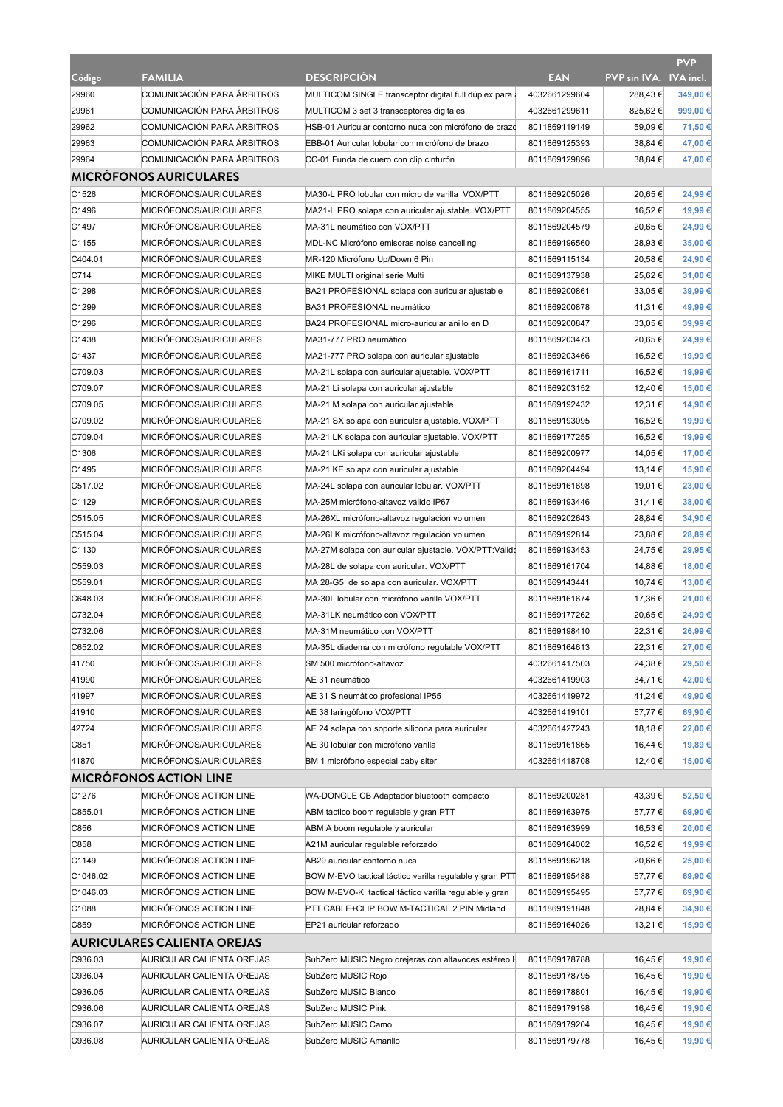|                   |                                    |                                                         |               |                        | <b>PVP</b> |
|-------------------|------------------------------------|---------------------------------------------------------|---------------|------------------------|------------|
| Código            | <b>FAMILIA</b>                     | <b>DESCRIPCION</b>                                      | <b>EAN</b>    | PVP sin IVA. IVA incl. |            |
| 29960             | COMUNICACIÓN PARA ÁRBITROS         | MULTICOM SINGLE transceptor digital full dúplex para    | 4032661299604 | 288,43€                | 349,00€    |
| 29961             | COMUNICACIÓN PARA ARBITROS         | MULTICOM 3 set 3 transceptores digitales                | 4032661299611 | 825,62€                | 999,00€    |
| 29962             | COMUNICACIÓN PARA ARBITROS         | HSB-01 Auricular contorno nuca con micrófono de brazo   | 8011869119149 | 59,09€                 | 71,50 €    |
| 29963             | COMUNICACIÓN PARA ÁRBITROS         | EBB-01 Auricular lobular con micrófono de brazo         | 8011869125393 | 38,84 €                | 47,00 €    |
| 29964             | COMUNICACIÓN PARA ÁRBITROS         | CC-01 Funda de cuero con clip cinturón                  | 8011869129896 | 38,84 €                | 47,00 €    |
|                   | <b>MICRÓFONOS AURICULARES</b>      |                                                         |               |                        |            |
| C1526             | MICRÓFONOS/AURICULARES             | MA30-L PRO lobular con micro de varilla VOX/PTT         | 8011869205026 | 20,65€                 | 24,99€     |
| C1496             | MICRÓFONOS/AURICULARES             | MA21-L PRO solapa con auricular ajustable. VOX/PTT      | 8011869204555 | 16,52 €                | 19,99€     |
| C1497             | MICRÓFONOS/AURICULARES             | MA-31L neumático con VOX/PTT                            | 8011869204579 | 20.65€                 | 24,99€     |
| C <sub>1155</sub> | MICRÓFONOS/AURICULARES             | MDL-NC Micrófono emisoras noise cancelling              | 8011869196560 | 28,93€                 | 35,00€     |
| C404.01           | MICRÓFONOS/AURICULARES             | MR-120 Micrófono Up/Down 6 Pin                          | 8011869115134 | 20,58€                 | 24,90 €    |
| C714              | MICRÓFONOS/AURICULARES             | MIKE MULTI original serie Multi                         | 8011869137938 | 25,62€                 | 31,00 €    |
| C1298             | MICRÓFONOS/AURICULARES             | BA21 PROFESIONAL solapa con auricular ajustable         | 8011869200861 | 33,05 €                | 39,99€     |
| C1299             | MICRÓFONOS/AURICULARES             | BA31 PROFESIONAL neumático                              | 8011869200878 | 41,31 €                | 49,99€     |
| C1296             | MICRÓFONOS/AURICULARES             | BA24 PROFESIONAL micro-auricular anillo en D            | 8011869200847 | 33,05€                 | 39,99€     |
| C1438             | MICRÓFONOS/AURICULARES             | MA31-777 PRO neumático                                  | 8011869203473 | 20,65€                 | 24,99€     |
| C1437             | MICRÓFONOS/AURICULARES             | MA21-777 PRO solapa con auricular ajustable             | 8011869203466 | 16,52 €                | 19,99€     |
| C709.03           | MICRÓFONOS/AURICULARES             |                                                         | 8011869161711 | 16,52 €                | 19,99€     |
| C709.07           | MICRÓFONOS/AURICULARES             | MA-21L solapa con auricular ajustable. VOX/PTT          | 8011869203152 | 12,40 €                | 15,00€     |
|                   |                                    | MA-21 Li solapa con auricular ajustable                 | 8011869192432 |                        |            |
| C709.05           | MICRÓFONOS/AURICULARES             | MA-21 M solapa con auricular ajustable                  |               | 12,31 €                | 14,90 €    |
| C709.02           | MICRÓFONOS/AURICULARES             | MA-21 SX solapa con auricular ajustable. VOX/PTT        | 8011869193095 | 16,52 €                | 19,99 €    |
| C709.04           | MICRÓFONOS/AURICULARES             | MA-21 LK solapa con auricular ajustable. VOX/PTT        | 8011869177255 | 16,52€                 | 19,99€     |
| C1306             | MICRÓFONOS/AURICULARES             | MA-21 LKi solapa con auricular ajustable                | 8011869200977 | 14,05 €                | 17,00€     |
| C1495             | MICRÓFONOS/AURICULARES             | MA-21 KE solapa con auricular ajustable                 | 8011869204494 | 13,14 €                | 15,90 €    |
| C517.02           | MICRÓFONOS/AURICULARES             | MA-24L solapa con auricular lobular. VOX/PTT            | 8011869161698 | 19,01 €                | 23,00 €    |
| C1129             | MICRÓFONOS/AURICULARES             | MA-25M micrófono-altavoz válido IP67                    | 8011869193446 | 31,41€                 | 38,00 €    |
| C515.05           | MICRÓFONOS/AURICULARES             | MA-26XL micrófono-altavoz regulación volumen            | 8011869202643 | 28,84 €                | 34,90 €    |
| C515.04           | MICRÓFONOS/AURICULARES             | MA-26LK micrófono-altavoz regulación volumen            | 8011869192814 | 23,88€                 | 28,89€     |
| C1130             | MICRÓFONOS/AURICULARES             | MA-27M solapa con auricular ajustable. VOX/PTT:Válido   | 8011869193453 | 24,75€                 | 29,95€     |
| C559.03           | MICRÓFONOS/AURICULARES             | MA-28L de solapa con auricular. VOX/PTT                 | 8011869161704 | 14,88€                 | 18,00 €    |
| C559.01           | MICRÓFONOS/AURICULARES             | MA 28-G5 de solapa con auricular. VOX/PTT               | 8011869143441 | 10,74 €                | 13,00 €    |
| C648.03           | MICRÓFONOS/AURICULARES             | MA-30L lobular con micrófono varilla VOX/PTT            | 8011869161674 | 17,36 €                | 21,00€     |
| C732.04           | MICRÓFONOS/AURICULARES             | MA-31LK neumático con VOX/PTT                           | 8011869177262 | 20,65 €                | 24,99€     |
| C732.06           | MICRÓFONOS/AURICULARES             | MA-31M neumático con VOX/PTT                            | 8011869198410 | 22,31 €                | 26,99€     |
| C652.02           | MICRÓFONOS/AURICULARES             | MA-35L diadema con micrófono regulable VOX/PTT          | 8011869164613 | 22,31 €                | 27,00 €    |
| 41750             | MICRÓFONOS/AURICULARES             | SM 500 micrófono-altavoz                                | 4032661417503 | 24,38€                 | 29,50€     |
| 41990             | MICRÓFONOS/AURICULARES             | AE 31 neumático                                         | 4032661419903 | 34,71€                 | 42,00 €    |
| 41997             | MICRÓFONOS/AURICULARES             | AE 31 S neumático profesional IP55                      | 4032661419972 | 41,24 €                | 49,90 €    |
| 41910             | MICRÓFONOS/AURICULARES             | AE 38 laringófono VOX/PTT                               | 4032661419101 | 57,77€                 | 69,90€     |
| 42724             | MICRÓFONOS/AURICULARES             | AE 24 solapa con soporte silicona para auricular        | 4032661427243 | 18,18€                 | 22,00€     |
| C851              | MICRÓFONOS/AURICULARES             | AE 30 lobular con micrófono varilla                     | 8011869161865 | 16,44 €                | 19,89€     |
| 41870             | MICRÓFONOS/AURICULARES             | BM 1 micrófono especial baby siter                      | 4032661418708 | 12,40 €                | 15.00€     |
|                   | <b>MICRÓFONOS ACTION LINE</b>      |                                                         |               |                        |            |
| C1276             | MICRÓFONOS ACTION LINE             | WA-DONGLE CB Adaptador bluetooth compacto               | 8011869200281 | 43,39€                 | 52,50€     |
| C855.01           | MICRÓFONOS ACTION LINE             | ABM táctico boom regulable y gran PTT                   | 8011869163975 | 57,77€                 | 69,90€     |
| C856              | MICRÓFONOS ACTION LINE             | ABM A boom regulable y auricular                        | 8011869163999 | 16,53 €                | 20,00 €    |
| C858              | MICRÓFONOS ACTION LINE             | A21M auricular regulable reforzado                      | 8011869164002 | 16,52€                 | 19,99€     |
| C1149             | MICRÓFONOS ACTION LINE             | AB29 auricular contorno nuca                            | 8011869196218 | 20,66€                 | 25,00 €    |
| C1046.02          | MICRÓFONOS ACTION LINE             | BOW M-EVO tactical táctico varilla regulable y gran PTT | 8011869195488 | 57,77€                 | 69,90€     |
| C1046.03          | MICRÓFONOS ACTION LINE             | BOW M-EVO-K tactical táctico varilla regulable y gran   | 8011869195495 | 57,77€                 | 69,90€     |
| C1088             | MICRÓFONOS ACTION LINE             | PTT CABLE+CLIP BOW M-TACTICAL 2 PIN Midland             | 8011869191848 | 28,84 €                | 34,90 €    |
| C859              | MICRÓFONOS ACTION LINE             | EP21 auricular reforzado                                | 8011869164026 | 13,21 €                | 15,99€     |
|                   | <b>AURICULARES CALIENTA OREJAS</b> |                                                         |               |                        |            |
| C936.03           | AURICULAR CALIENTA OREJAS          | SubZero MUSIC Negro orejeras con altavoces estéreo H    | 8011869178788 | 16,45 €                | 19,90 €    |
| C936.04           | AURICULAR CALIENTA OREJAS          | SubZero MUSIC Rojo                                      | 8011869178795 | 16,45 €                | 19,90 €    |
| C936.05           | AURICULAR CALIENTA OREJAS          | SubZero MUSIC Blanco                                    | 8011869178801 | 16,45€                 | 19,90 €    |
| C936.06           | AURICULAR CALIENTA OREJAS          | SubZero MUSIC Pink                                      | 8011869179198 | 16,45 €                | 19,90 €    |
| C936.07           | AURICULAR CALIENTA OREJAS          | SubZero MUSIC Camo                                      | 8011869179204 | 16,45 €                | 19,90 €    |
| C936.08           | AURICULAR CALIENTA OREJAS          | SubZero MUSIC Amarillo                                  | 8011869179778 | 16,45€                 | 19,90 €    |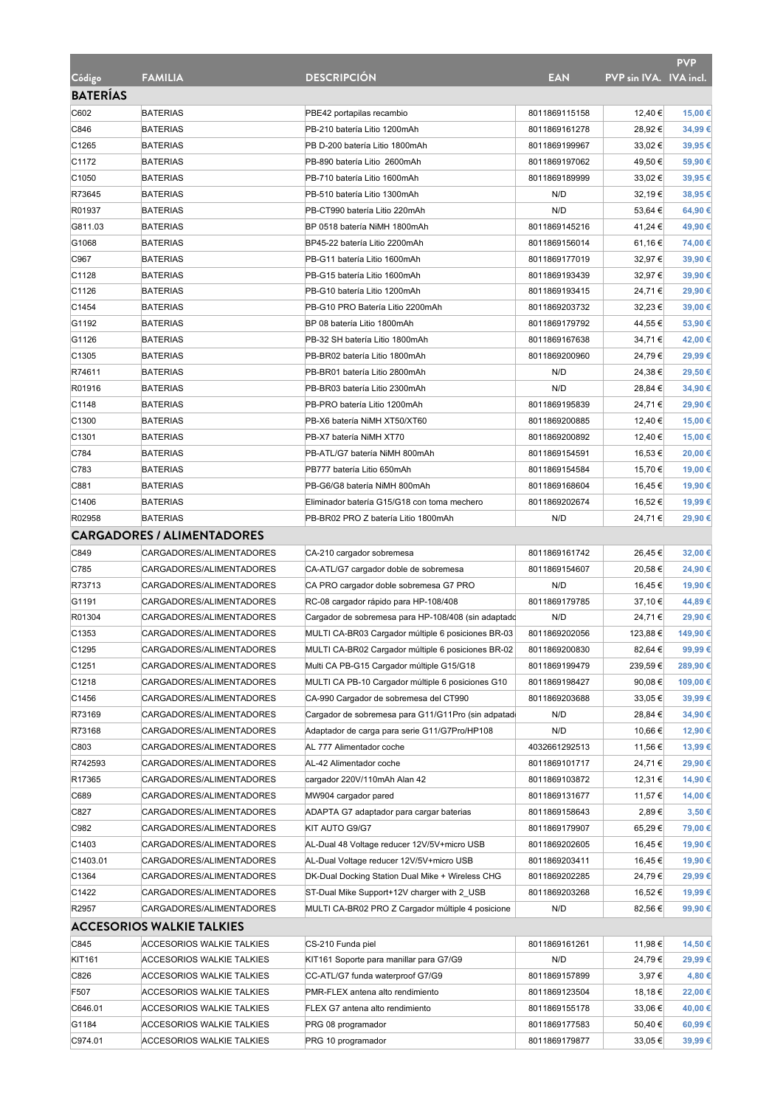|                   |                                   |                                                     |               |                        | <b>PVP</b> |
|-------------------|-----------------------------------|-----------------------------------------------------|---------------|------------------------|------------|
| Código            | <b>FAMILIA</b>                    | <b>DESCRIPCIÓN</b>                                  | <b>EAN</b>    | PVP sin IVA. IVA incl. |            |
| <b>BATERÍAS</b>   |                                   |                                                     |               |                        |            |
| C602              | <b>BATERIAS</b>                   | PBE42 portapilas recambio                           | 8011869115158 | 12,40 €                | 15,00 €    |
| C846              | <b>BATERIAS</b>                   | PB-210 batería Litio 1200mAh                        | 8011869161278 | 28.92€                 | 34,99€     |
| C1265             | <b>BATERIAS</b>                   | PB D-200 batería Litio 1800mAh                      | 8011869199967 | 33,02 €                | 39,95€     |
| C1172             | <b>BATERIAS</b>                   | PB-890 batería Litio 2600mAh                        | 8011869197062 | 49,50 €                | 59,90€     |
| C1050             | <b>BATERIAS</b>                   | PB-710 batería Litio 1600mAh                        | 8011869189999 | 33,02 €                | 39,95€     |
| R73645            | <b>BATERIAS</b>                   | PB-510 batería Litio 1300mAh                        | N/D           | 32,19€                 | 38,95€     |
| R01937            | <b>BATERIAS</b>                   | PB-CT990 batería Litio 220mAh                       | N/D           | 53,64 €                | 64,90€     |
| G811.03           | <b>BATERIAS</b>                   | BP 0518 batería NiMH 1800mAh                        | 8011869145216 | 41,24 €                | 49,90 €    |
| G1068             | <b>BATERIAS</b>                   | BP45-22 batería Litio 2200mAh                       | 8011869156014 | 61,16€                 | 74,00 €    |
| C967              | <b>BATERIAS</b>                   | PB-G11 batería Litio 1600mAh                        | 8011869177019 | 32,97€                 | 39,90 €    |
| C1128             | <b>BATERIAS</b>                   | PB-G15 batería Litio 1600mAh                        | 8011869193439 | 32,97€                 | 39,90 €    |
| C1126             | <b>BATERIAS</b>                   | PB-G10 batería Litio 1200mAh                        | 8011869193415 | 24,71€                 | 29,90 €    |
| C1454             | <b>BATERIAS</b>                   | PB-G10 PRO Batería Litio 2200mAh                    | 8011869203732 | 32,23 €                | 39,00 €    |
| G1192             | <b>BATERIAS</b>                   | BP 08 batería Litio 1800mAh                         | 8011869179792 | 44,55 €                | 53,90€     |
| G1126             | <b>BATERIAS</b>                   | PB-32 SH batería Litio 1800mAh                      | 8011869167638 | 34,71€                 | 42,00 €    |
| C <sub>1305</sub> | <b>BATERIAS</b>                   | PB-BR02 batería Litio 1800mAh                       | 8011869200960 | 24,79€                 | 29,99€     |
| R74611            | <b>BATERIAS</b>                   | PB-BR01 batería Litio 2800mAh                       | N/D           | 24,38€                 | 29,50€     |
| R01916            | <b>BATERIAS</b>                   | PB-BR03 batería Litio 2300mAh                       | N/D           | 28,84 €                | 34,90 €    |
| C1148             | <b>BATERIAS</b>                   | PB-PRO batería Litio 1200mAh                        | 8011869195839 | 24,71€                 | 29,90 €    |
| C1300             | <b>BATERIAS</b>                   | PB-X6 batería NiMH XT50/XT60                        | 8011869200885 | 12,40 €                | 15,00 €    |
| C <sub>1301</sub> | <b>BATERIAS</b>                   | PB-X7 batería NiMH XT70                             | 8011869200892 | 12,40 €                | 15,00 €    |
| C784              | <b>BATERIAS</b>                   | PB-ATL/G7 batería NiMH 800mAh                       | 8011869154591 | 16,53 €                | 20,00 €    |
| C783              | <b>BATERIAS</b>                   | PB777 batería Litio 650mAh                          | 8011869154584 | 15,70 €                | 19,00 €    |
| C881              | <b>BATERIAS</b>                   | PB-G6/G8 batería NiMH 800mAh                        | 8011869168604 | 16,45€                 | 19,90 €    |
| C1406             | <b>BATERIAS</b>                   | Eliminador batería G15/G18 con toma mechero         | 8011869202674 | 16,52€                 | 19,99€     |
| R02958            | <b>BATERIAS</b>                   | PB-BR02 PRO Z batería Litio 1800mAh                 | N/D           | 24,71€                 | 29,90 €    |
|                   | <b>CARGADORES / ALIMENTADORES</b> |                                                     |               |                        |            |
|                   |                                   |                                                     |               |                        |            |
| C849              | CARGADORES/ALIMENTADORES          | CA-210 cargador sobremesa                           | 8011869161742 | 26,45€                 | 32,00 €    |
| C785              | CARGADORES/ALIMENTADORES          | CA-ATL/G7 cargador doble de sobremesa               | 8011869154607 | 20,58€                 | 24,90 €    |
| R73713            | CARGADORES/ALIMENTADORES          | CA PRO cargador doble sobremesa G7 PRO              | N/D           | 16,45 €                | 19,90 €    |
| G1191             | CARGADORES/ALIMENTADORES          | RC-08 cargador rápido para HP-108/408               | 8011869179785 | 37,10 €                | 44,89€     |
| R01304            | CARGADORES/ALIMENTADORES          | Cargador de sobremesa para HP-108/408 (sin adaptado | N/D           | 24,71€                 | 29,90 €    |
| C <sub>1353</sub> | CARGADORES/ALIMENTADORES          | MULTI CA-BR03 Cargador múltiple 6 posiciones BR-03  | 8011869202056 | 123,88 €               | 149,90 €   |
| C1295             | CARGADORES/ALIMENTADORES          | MULTI CA-BR02 Cargador múltiple 6 posiciones BR-02  | 8011869200830 | 82,64 €                | 99,99 €    |
| C <sub>1251</sub> | CARGADORES/ALIMENTADORES          | Multi CA PB-G15 Cargador múltiple G15/G18           | 8011869199479 | 239,59€                | 289,90 €   |
| C1218             | CARGADORES/ALIMENTADORES          | MULTI CA PB-10 Cargador múltiple 6 posiciones G10   | 8011869198427 | 90,08€                 | 109,00 €   |
| C1456             | CARGADORES/ALIMENTADORES          | CA-990 Cargador de sobremesa del CT990              | 8011869203688 | 33,05 €                | 39,99€     |
| R73169            | CARGADORES/ALIMENTADORES          | Cargador de sobremesa para G11/G11Pro (sin adpatad  | N/D           | 28,84 €                | 34,90 €    |
| R73168            | CARGADORES/ALIMENTADORES          | Adaptador de carga para serie G11/G7Pro/HP108       | N/D           | 10,66 €                | 12,90 €    |
| C803              | CARGADORES/ALIMENTADORES          | AL 777 Alimentador coche                            | 4032661292513 | 11,56 €                | 13,99€     |
| R742593           | CARGADORES/ALIMENTADORES          | AL-42 Alimentador coche                             | 8011869101717 | 24,71€                 | 29,90 €    |
| R17365            | CARGADORES/ALIMENTADORES          | cargador 220V/110mAh Alan 42                        | 8011869103872 | 12,31 €                | 14,90 €    |
| C689              | CARGADORES/ALIMENTADORES          | MW904 cargador pared                                | 8011869131677 | 11,57 €                | 14,00 €    |
| C827              | CARGADORES/ALIMENTADORES          | ADAPTA G7 adaptador para cargar baterias            | 8011869158643 | 2,89€                  | 3,50 €     |
| C982              | CARGADORES/ALIMENTADORES          | KIT AUTO G9/G7                                      | 8011869179907 | 65,29€                 | 79,00 €    |
| C1403             | CARGADORES/ALIMENTADORES          | AL-Dual 48 Voltage reducer 12V/5V+micro USB         | 8011869202605 | 16,45 €                | 19,90 €    |
| C1403.01          | CARGADORES/ALIMENTADORES          | AL-Dual Voltage reducer 12V/5V+micro USB            | 8011869203411 | 16,45€                 | 19,90 €    |
| C1364             | CARGADORES/ALIMENTADORES          | DK-Dual Docking Station Dual Mike + Wireless CHG    | 8011869202285 | 24,79€                 | 29,99€     |
| C1422             | CARGADORES/ALIMENTADORES          | ST-Dual Mike Support+12V charger with 2_USB         | 8011869203268 | 16,52 €                | 19,99€     |
| R2957             | CARGADORES/ALIMENTADORES          | MULTI CA-BR02 PRO Z Cargador múltiple 4 posicione   | N/D           | 82,56€                 | 99,90 €    |
|                   | <b>ACCESORIOS WALKIE TALKIES</b>  |                                                     |               |                        |            |
| C845              | ACCESORIOS WALKIE TALKIES         | CS-210 Funda piel                                   | 8011869161261 | 11,98 €                | 14,50 €    |
| KIT161            | ACCESORIOS WALKIE TALKIES         | KIT161 Soporte para manillar para G7/G9             | N/D           | 24,79€                 | 29,99€     |
| C826              | <b>ACCESORIOS WALKIE TALKIES</b>  | CC-ATL/G7 funda waterproof G7/G9                    | 8011869157899 | 3,97€                  | 4,80 €     |
| F507              | <b>ACCESORIOS WALKIE TALKIES</b>  | PMR-FLEX antena alto rendimiento                    | 8011869123504 | 18,18€                 | 22,00 €    |
| C646.01           | ACCESORIOS WALKIE TALKIES         | FLEX G7 antena alto rendimiento                     | 8011869155178 | 33,06 €                | 40,00 €    |
| G1184             | ACCESORIOS WALKIE TALKIES         | PRG 08 programador                                  | 8011869177583 | 50,40 €                | 60,99€     |
| C974.01           | <b>ACCESORIOS WALKIE TALKIES</b>  | PRG 10 programador                                  | 8011869179877 | 33,05 €                | 39,99€     |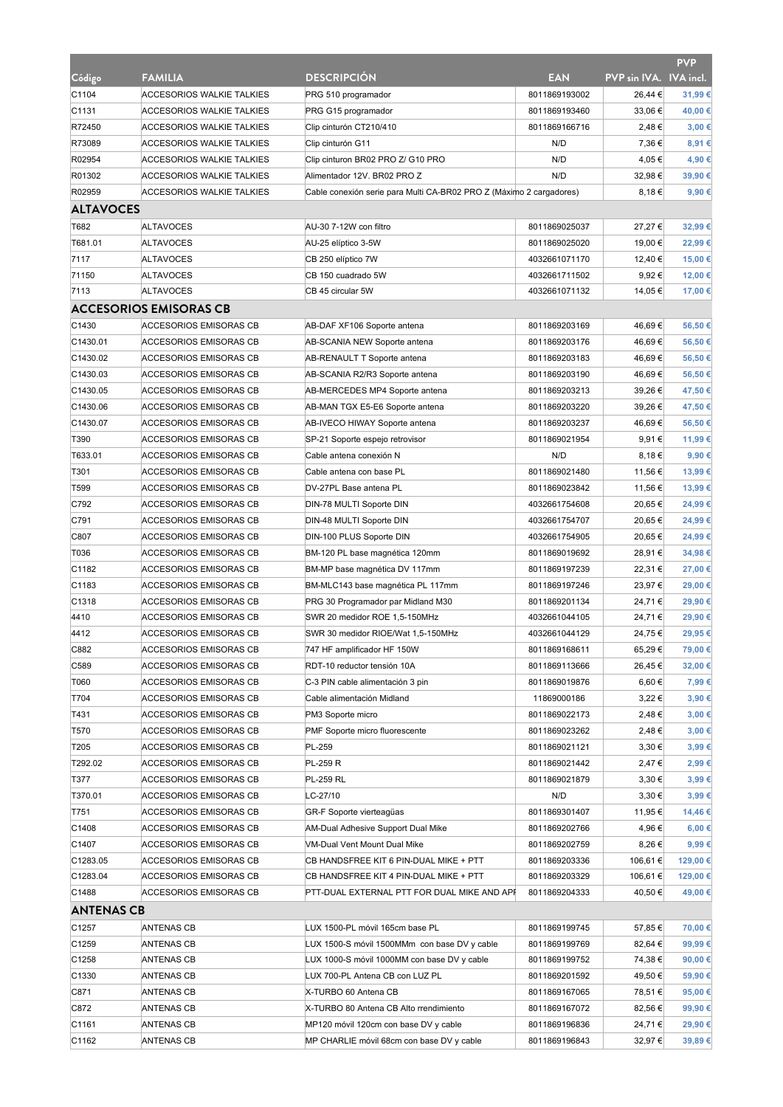|                   |                                  |                                                                     |                                |                        | PVP              |
|-------------------|----------------------------------|---------------------------------------------------------------------|--------------------------------|------------------------|------------------|
| Código            | <b>FAMILIA</b>                   | <b>DESCRIPCIÓN</b>                                                  | <b>EAN</b>                     | PVP sin IVA. IVA incl. |                  |
| C1104             | <b>ACCESORIOS WALKIE TALKIES</b> | PRG 510 programador                                                 | 8011869193002                  | 26,44 €                | 31,99€           |
| C1131             | ACCESORIOS WALKIE TALKIES        | PRG G15 programador                                                 | 8011869193460                  | 33,06 €                | 40,00 €          |
| R72450            | ACCESORIOS WALKIE TALKIES        | Clip cinturón CT210/410                                             | 8011869166716                  | 2,48 €                 | 3,00 €           |
| R73089            | ACCESORIOS WALKIE TALKIES        | Clip cinturón G11                                                   | N/D                            | 7,36€                  | 8,91€            |
| R02954            | ACCESORIOS WALKIE TALKIES        | Clip cinturon BR02 PRO Z/ G10 PRO                                   | N/D                            | 4,05 €                 | 4,90 €           |
| R01302            | ACCESORIOS WALKIE TALKIES        | Alimentador 12V. BR02 PRO Z                                         | N/D                            | 32,98€                 | 39,90€           |
| R02959            | ACCESORIOS WALKIE TALKIES        | Cable conexión serie para Multi CA-BR02 PRO Z (Máximo 2 cargadores) |                                | 8,18€                  | 9,90€            |
| <b>ALTAVOCES</b>  |                                  |                                                                     |                                |                        |                  |
| T682              | <b>ALTAVOCES</b>                 | AU-30 7-12W con filtro                                              | 8011869025037                  | 27,27€                 | 32,99€           |
| T681.01           | <b>ALTAVOCES</b>                 | AU-25 elíptico 3-5W                                                 | 8011869025020                  | 19,00 €                | 22,99€           |
| 7117              | <b>ALTAVOCES</b>                 | CB 250 elíptico 7W                                                  | 4032661071170                  | 12,40 €                | 15,00 €          |
| 71150             | <b>ALTAVOCES</b>                 | CB 150 cuadrado 5W                                                  | 4032661711502                  | 9,92€                  | 12,00 €          |
| 7113              | <b>ALTAVOCES</b>                 | CB 45 circular 5W                                                   | 4032661071132                  | 14,05 €                | 17,00 €          |
|                   | <b>ACCESORIOS EMISORAS CB</b>    |                                                                     |                                |                        |                  |
| C1430             | ACCESORIOS EMISORAS CB           | AB-DAF XF106 Soporte antena                                         | 8011869203169                  | 46,69€                 | 56,50€           |
| C1430.01          | ACCESORIOS EMISORAS CB           | AB-SCANIA NEW Soporte antena                                        | 8011869203176                  | 46,69€                 | 56,50€           |
| C1430.02          | ACCESORIOS EMISORAS CB           | AB-RENAULT T Soporte antena                                         | 8011869203183                  | 46,69€                 | 56,50€           |
| C1430.03          | <b>ACCESORIOS EMISORAS CB</b>    | AB-SCANIA R2/R3 Soporte antena                                      | 8011869203190                  | 46,69€                 | 56,50€           |
| C1430.05          | <b>ACCESORIOS EMISORAS CB</b>    | AB-MERCEDES MP4 Soporte antena                                      | 8011869203213                  | 39,26€                 | 47,50 €          |
| C1430.06          | ACCESORIOS EMISORAS CB           | AB-MAN TGX E5-E6 Soporte antena                                     | 8011869203220                  | 39.26 €                | 47,50 €          |
| C1430.07          | ACCESORIOS EMISORAS CB           | AB-IVECO HIWAY Soporte antena                                       | 8011869203237                  | 46,69€                 | 56,50€           |
| T390              | ACCESORIOS EMISORAS CB           | SP-21 Soporte espejo retrovisor                                     | 8011869021954                  | 9,91€                  | 11,99 €          |
| T633.01           | <b>ACCESORIOS EMISORAS CB</b>    | Cable antena conexión N                                             | N/D                            | 8,18€                  | 9,90€            |
| T301              | ACCESORIOS EMISORAS CB           | Cable antena con base PL                                            | 8011869021480                  | 11,56 €                | 13,99€           |
| T599              | ACCESORIOS EMISORAS CB           | DV-27PL Base antena PL                                              | 8011869023842                  | 11,56 €                | 13,99€           |
| C792              | ACCESORIOS EMISORAS CB           | DIN-78 MULTI Soporte DIN                                            | 4032661754608                  | 20,65€                 | 24,99€           |
| C791              | ACCESORIOS EMISORAS CB           | DIN-48 MULTI Soporte DIN                                            | 4032661754707                  | 20,65 €                | 24,99€           |
| C807              | ACCESORIOS EMISORAS CB           | DIN-100 PLUS Soporte DIN                                            | 4032661754905                  | 20,65€                 | 24,99€           |
| T036              | ACCESORIOS EMISORAS CB           | BM-120 PL base magnética 120mm                                      | 8011869019692                  | 28,91 €                | 34,98€           |
| C1182             | ACCESORIOS EMISORAS CB           | BM-MP base magnética DV 117mm                                       | 8011869197239                  | 22,31 €                | 27,00 €          |
| C1183             | ACCESORIOS EMISORAS CB           | BM-MLC143 base magnética PL 117mm                                   | 8011869197246                  | 23,97€                 | 29,00 €          |
| C1318             | ACCESORIOS EMISORAS CB           | PRG 30 Programador par Midland M30                                  | 8011869201134                  | 24,71€                 | 29,90 €          |
| 4410              | ACCESORIOS EMISORAS CB           | SWR 20 medidor ROE 1,5-150MHz                                       | 4032661044105                  | 24,71€                 | 29,90 €          |
| 4412              | ACCESORIOS EMISORAS CB           | SWR 30 medidor RIOE/Wat 1,5-150MHz                                  | 4032661044129                  | 24,75 €                | 29,95€           |
| C882              | ACCESORIOS EMISORAS CB           | 747 HF amplificador HF 150W                                         | 8011869168611                  | 65,29€                 | 79,00 €          |
| C589              | <b>ACCESORIOS EMISORAS CB</b>    | RDT-10 reductor tensión 10A                                         | 8011869113666                  | 26,45€                 | 32,00 €          |
| T060              | <b>ACCESORIOS EMISORAS CB</b>    | C-3 PIN cable alimentación 3 pin                                    | 8011869019876                  | 6,60€                  | 7,99€            |
| T704              | <b>ACCESORIOS EMISORAS CB</b>    | Cable alimentación Midland                                          | 11869000186                    | 3,22 €                 | 3,90 €           |
| T431              | ACCESORIOS EMISORAS CB           | PM3 Soporte micro                                                   | 8011869022173                  | 2,48 €                 | 3,00 €           |
| T570              | ACCESORIOS EMISORAS CB           | PMF Soporte micro fluorescente                                      | 8011869023262                  | 2,48€                  | 3,00 €           |
| T205              | <b>ACCESORIOS EMISORAS CB</b>    | PL-259                                                              | 8011869021121                  | 3,30€                  | 3,99€            |
| T292.02           | <b>ACCESORIOS EMISORAS CB</b>    | PL-259 R                                                            | 8011869021442                  | 2,47€                  | 2,99€            |
| T377              | <b>ACCESORIOS EMISORAS CB</b>    | <b>PL-259 RL</b>                                                    | 8011869021879                  | 3,30€                  | 3,99€            |
| T370.01           | ACCESORIOS EMISORAS CB           | LC-27/10                                                            | N/D                            | 3,30€                  | 3,99€            |
| T751              | <b>ACCESORIOS EMISORAS CB</b>    | GR-F Soporte vierteagüas                                            | 8011869301407                  | 11,95 €                | 14,46€           |
| C1408             | <b>ACCESORIOS EMISORAS CB</b>    | AM-Dual Adhesive Support Dual Mike                                  | 8011869202766                  | 4,96€                  | 6,00 €           |
| C1407             | ACCESORIOS EMISORAS CB           | VM-Dual Vent Mount Dual Mike                                        | 8011869202759                  | 8,26€                  | 9,99€            |
| C1283.05          | ACCESORIOS EMISORAS CB           | CB HANDSFREE KIT 6 PIN-DUAL MIKE + PTT                              | 8011869203336                  | 106,61 €               | 129,00 €         |
| C1283.04          | ACCESORIOS EMISORAS CB           | CB HANDSFREE KIT 4 PIN-DUAL MIKE + PTT                              | 8011869203329                  | 106,61 €               | 129,00 €         |
| C1488             | <b>ACCESORIOS EMISORAS CB</b>    | PTT-DUAL EXTERNAL PTT FOR DUAL MIKE AND APH                         | 8011869204333                  | 40,50 €                | 49,00 €          |
| <b>ANTENAS CB</b> |                                  |                                                                     |                                |                        |                  |
| C1257             | ANTENAS CB                       | LUX 1500-PL móvil 165cm base PL                                     | 8011869199745                  | 57,85€                 | 70,00 €          |
| C1259             | <b>ANTENAS CB</b>                | LUX 1500-S móvil 1500MMm con base DV y cable                        | 8011869199769                  | 82,64 €                | 99,99€           |
| C1258             | <b>ANTENAS CB</b>                | LUX 1000-S móvil 1000MM con base DV y cable                         | 8011869199752                  | 74,38€                 | 90,00€           |
| C1330             | <b>ANTENAS CB</b>                | LUX 700-PL Antena CB con LUZ PL                                     | 8011869201592                  | 49,50 €                | 59,90 €          |
|                   |                                  |                                                                     |                                |                        |                  |
| C871<br>C872      | ANTENAS CB<br>ANTENAS CB         | X-TURBO 60 Antena CB<br>X-TURBO 80 Antena CB Alto rrendimiento      | 8011869167065<br>8011869167072 | 78,51 €<br>82,56€      | 95,00€<br>99,90€ |
|                   |                                  | MP120 móvil 120cm con base DV y cable                               | 8011869196836                  | 24,71€                 | 29,90 €          |
| C1161             | ANTENAS CB                       |                                                                     |                                |                        |                  |
| C1162             | <b>ANTENAS CB</b>                | MP CHARLIE móvil 68cm con base DV y cable                           | 8011869196843                  | 32,97€                 | 39,89€           |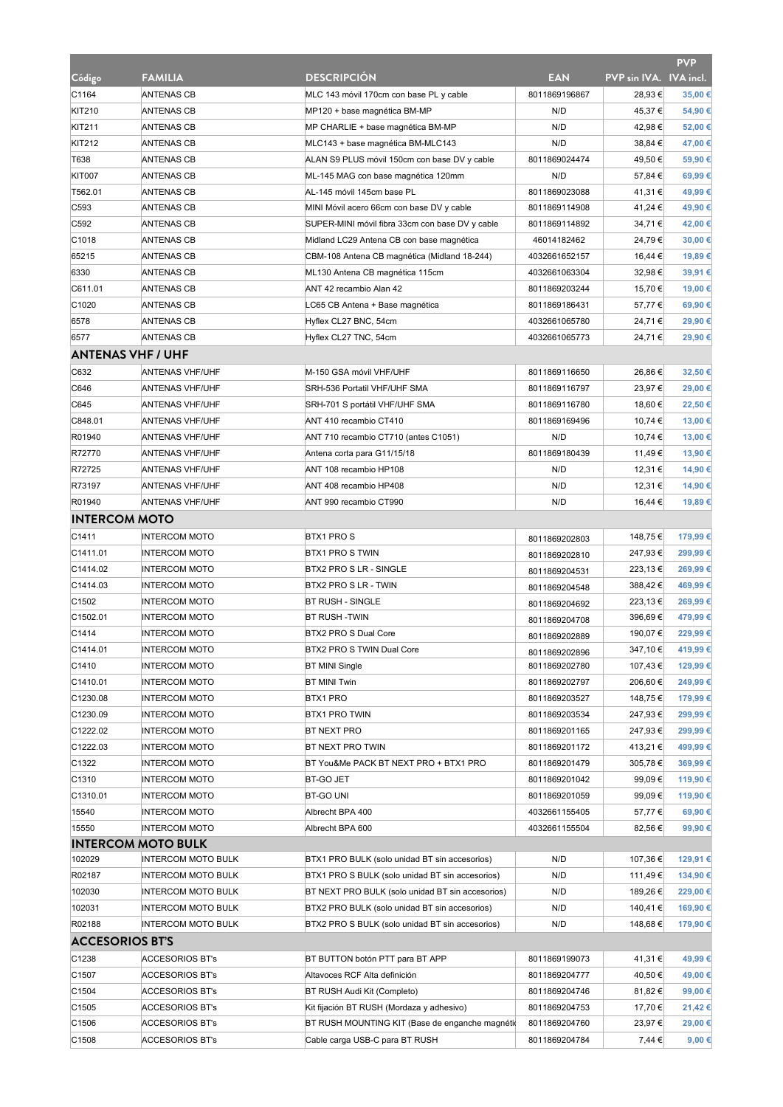|                          |                                                        |                                                                                                   |                                |                        | <b>PVP</b>          |
|--------------------------|--------------------------------------------------------|---------------------------------------------------------------------------------------------------|--------------------------------|------------------------|---------------------|
| Código                   | <b>FAMILIA</b>                                         | <b>DESCRIPCIÓN</b>                                                                                | <b>EAN</b>                     | PVP sin IVA. IVA incl. |                     |
| C1164                    | <b>ANTENAS CB</b>                                      | MLC 143 móvil 170cm con base PL y cable                                                           | 8011869196867                  | 28,93€                 | 35,00€              |
| <b>KIT210</b>            | <b>ANTENAS CB</b>                                      | MP120 + base magnética BM-MP                                                                      | N/D                            | 45,37 €                | 54,90€              |
| <b>KIT211</b>            | <b>ANTENAS CB</b>                                      | MP CHARLIE + base magnética BM-MP                                                                 | N/D                            | 42,98€                 | 52,00 €             |
| <b>KIT212</b>            | <b>ANTENAS CB</b>                                      | MLC143 + base magnética BM-MLC143                                                                 | N/D                            | 38,84 €                | 47,00 €             |
| T638                     | <b>ANTENAS CB</b>                                      | ALAN S9 PLUS móvil 150cm con base DV y cable                                                      | 8011869024474                  | 49,50 €                | 59,90€              |
| <b>KIT007</b>            | <b>ANTENAS CB</b>                                      | ML-145 MAG con base magnética 120mm                                                               | N/D                            | 57,84 €                | 69,99€              |
| T562.01                  | <b>ANTENAS CB</b>                                      | AL-145 móvil 145cm base PL                                                                        | 8011869023088                  | 41,31 €                | 49,99€              |
| C <sub>593</sub>         | <b>ANTENAS CB</b>                                      | MINI Móvil acero 66cm con base DV y cable                                                         | 8011869114908                  | 41,24 €                | 49,90 €             |
| C592                     | ANTENAS CB                                             | SUPER-MINI móvil fibra 33cm con base DV y cable                                                   | 8011869114892                  | 34,71€                 | 42,00 €             |
| C1018                    | <b>ANTENAS CB</b>                                      | Midland LC29 Antena CB con base magnética                                                         | 46014182462                    | 24,79€                 | 30,00 €             |
| 65215                    | <b>ANTENAS CB</b>                                      | CBM-108 Antena CB magnética (Midland 18-244)                                                      | 4032661652157                  | 16,44 €                | 19,89€              |
| 6330                     | <b>ANTENAS CB</b>                                      | ML130 Antena CB magnética 115cm                                                                   | 4032661063304                  | 32,98€                 | 39,91€              |
| C611.01                  | <b>ANTENAS CB</b>                                      | ANT 42 recambio Alan 42                                                                           | 8011869203244                  | 15,70 €                | 19,00 €             |
| C1020                    | <b>ANTENAS CB</b>                                      | LC65 CB Antena + Base magnética                                                                   | 8011869186431                  | 57,77€                 | 69,90€              |
| 6578                     | <b>ANTENAS CB</b>                                      | Hyflex CL27 BNC, 54cm                                                                             | 4032661065780                  | 24,71€                 | 29,90 €             |
| 6577                     | <b>ANTENAS CB</b>                                      | Hyflex CL27 TNC, 54cm                                                                             | 4032661065773                  | 24,71€                 | 29,90€              |
| <b>ANTENAS VHF / UHF</b> |                                                        |                                                                                                   |                                |                        |                     |
| C632                     | <b>ANTENAS VHF/UHF</b>                                 | M-150 GSA móvil VHF/UHF                                                                           | 8011869116650                  | 26,86€                 | 32,50 €             |
| C646                     | <b>ANTENAS VHF/UHF</b>                                 | SRH-536 Portatil VHF/UHF SMA                                                                      | 8011869116797                  | 23,97€                 | 29,00 €             |
| C645                     | ANTENAS VHF/UHF                                        | SRH-701 S portátil VHF/UHF SMA                                                                    | 8011869116780                  | 18,60 €                | 22,50 €             |
| C848.01                  | ANTENAS VHF/UHF                                        | ANT 410 recambio CT410                                                                            | 8011869169496                  | 10,74 €                | 13,00 €             |
| R01940                   | <b>ANTENAS VHF/UHF</b>                                 | ANT 710 recambio CT710 (antes C1051)                                                              | N/D                            | 10,74 €                | 13,00 €             |
| R72770                   | <b>ANTENAS VHF/UHF</b>                                 | Antena corta para G11/15/18                                                                       | 8011869180439                  | 11,49€                 | 13,90 €             |
| R72725                   | ANTENAS VHF/UHF                                        | ANT 108 recambio HP108                                                                            | N/D                            | 12,31 €                | 14,90 €             |
| R73197                   | <b>ANTENAS VHF/UHF</b>                                 | ANT 408 recambio HP408                                                                            | N/D                            | 12,31 €                | 14,90 €             |
| R01940                   | <b>ANTENAS VHF/UHF</b>                                 | ANT 990 recambio CT990                                                                            | N/D                            | 16,44 €                | 19,89€              |
| <b>INTERCOM MOTO</b>     |                                                        |                                                                                                   |                                |                        |                     |
| C1411                    | <b>INTERCOM MOTO</b>                                   | <b>BTX1 PROS</b>                                                                                  | 8011869202803                  | 148,75€                | 179,99€             |
| C1411.01                 | <b>INTERCOM MOTO</b>                                   | BTX1 PRO S TWIN                                                                                   | 8011869202810                  | 247,93 €               | 299,99€             |
| C1414.02                 | <b>INTERCOM MOTO</b>                                   | BTX2 PRO S LR - SINGLE                                                                            | 8011869204531                  | 223,13€                | 269,99€             |
| C1414.03                 | <b>INTERCOM MOTO</b>                                   | BTX2 PRO S LR - TWIN                                                                              | 8011869204548                  | 388,42€                | 469,99€             |
| C1502                    | <b>INTERCOM MOTO</b>                                   | <b>BT RUSH - SINGLE</b>                                                                           | 8011869204692                  | 223,13 €               | 269,99€             |
| C1502.01                 | <b>INTERCOM MOTO</b>                                   | <b>BT RUSH -TWIN</b>                                                                              | 8011869204708                  | 396,69€                | 479,99€             |
| C1414                    | <b>INTERCOM MOTO</b>                                   | BTX2 PRO S Dual Core                                                                              | 8011869202889                  | 190,07€                | 229,99€             |
| C1414.01                 | <b>INTERCOM MOTO</b>                                   | BTX2 PRO S TWIN Dual Core                                                                         | 8011869202896                  | 347,10 €               | 419,99 €            |
| C1410                    | <b>INTERCOM MOTO</b>                                   | <b>BT MINI Single</b>                                                                             | 8011869202780                  | 107,43 €               | 129,99€             |
| C1410.01                 | <b>INTERCOM MOTO</b>                                   | <b>BT MINI Twin</b>                                                                               | 8011869202797                  | 206,60 €               | 249,99€             |
| C1230.08                 | <b>INTERCOM MOTO</b>                                   | BTX1 PRO                                                                                          | 8011869203527                  | 148,75 €               | 179,99€             |
| C1230.09                 | <b>INTERCOM MOTO</b>                                   | <b>BTX1 PRO TWIN</b>                                                                              | 8011869203534                  | 247,93 €               | 299,99€             |
| C1222.02                 | <b>INTERCOM MOTO</b>                                   | BT NEXT PRO                                                                                       | 8011869201165                  | 247,93 €               | 299,99€             |
| C1222.03                 | <b>INTERCOM MOTO</b>                                   | BT NEXT PRO TWIN                                                                                  | 8011869201172                  | 413,21 €               | 499,99€             |
| C1322                    | <b>INTERCOM MOTO</b>                                   | BT You&Me PACK BT NEXT PRO + BTX1 PRO                                                             | 8011869201479                  | 305,78€                | 369,99€             |
| C1310                    | <b>INTERCOM MOTO</b>                                   | BT-GO JET                                                                                         | 8011869201042                  | 99,09€                 | 119,90 €            |
| C1310.01                 | <b>INTERCOM MOTO</b>                                   | BT-GO UNI                                                                                         | 8011869201059                  | 99,09€                 | 119,90 €            |
| 15540                    | <b>INTERCOM MOTO</b>                                   | Albrecht BPA 400                                                                                  | 4032661155405                  | 57,77€                 | 69,90€              |
| 15550                    | <b>INTERCOM MOTO</b>                                   | Albrecht BPA 600                                                                                  | 4032661155504                  | 82,56€                 | 99,90€              |
|                          | <b>INTERCOM MOTO BULK</b>                              |                                                                                                   |                                |                        |                     |
| 102029<br>R02187         | <b>INTERCOM MOTO BULK</b><br><b>INTERCOM MOTO BULK</b> | BTX1 PRO BULK (solo unidad BT sin accesorios)<br>BTX1 PRO S BULK (solo unidad BT sin accesorios)  | N/D<br>N/D                     | 107,36 €<br>111,49€    | 129,91€<br>134,90 € |
|                          |                                                        |                                                                                                   | N/D                            |                        |                     |
| 102030<br>102031         | <b>INTERCOM MOTO BULK</b><br><b>INTERCOM MOTO BULK</b> | BT NEXT PRO BULK (solo unidad BT sin accesorios)<br>BTX2 PRO BULK (solo unidad BT sin accesorios) | N/D                            | 189,26 €<br>140,41 €   | 229,00 €<br>169,90€ |
| R02188                   | <b>INTERCOM MOTO BULK</b>                              | BTX2 PRO S BULK (solo unidad BT sin accesorios)                                                   | N/D                            | 148,68€                | 179,90 €            |
|                          |                                                        |                                                                                                   |                                |                        |                     |
| <b>ACCESORIOS BT'S</b>   |                                                        |                                                                                                   |                                |                        |                     |
| C1238                    | <b>ACCESORIOS BT's</b>                                 | BT BUTTON botón PTT para BT APP                                                                   | 8011869199073                  | 41,31 €                | 49,99€              |
| C1507                    | <b>ACCESORIOS BT's</b>                                 | Altavoces RCF Alta definición                                                                     | 8011869204777                  | 40,50 €                | 49,00 €             |
| C1504<br>C1505           | <b>ACCESORIOS BT's</b><br><b>ACCESORIOS BT's</b>       | BT RUSH Audi Kit (Completo)<br>Kit fijación BT RUSH (Mordaza y adhesivo)                          | 8011869204746<br>8011869204753 | 81,82 €<br>17,70 €     | 99,00 €<br>21,42€   |
| C1506                    | <b>ACCESORIOS BT's</b>                                 | BT RUSH MOUNTING KIT (Base de enganche magnétic                                                   | 8011869204760                  | 23,97€                 | 29,00 €             |
| C1508                    | <b>ACCESORIOS BT's</b>                                 | Cable carga USB-C para BT RUSH                                                                    | 8011869204784                  | 7,44 €                 | 9,00 €              |
|                          |                                                        |                                                                                                   |                                |                        |                     |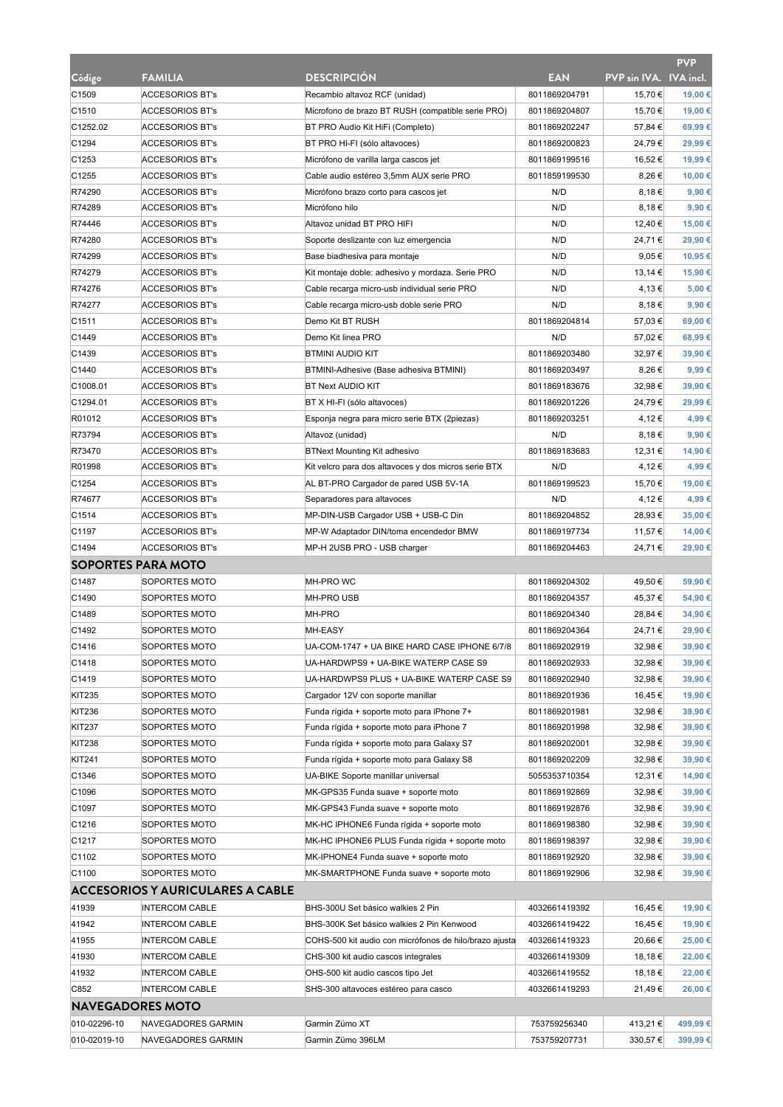|                           |                                         |                                                        |               |                        | <b>PVP</b> |
|---------------------------|-----------------------------------------|--------------------------------------------------------|---------------|------------------------|------------|
| Código                    | <b>FAMILIA</b>                          | <b>DESCRIPCION</b>                                     | <b>EAN</b>    | PVP sin IVA. IVA incl. |            |
| C1509                     | <b>ACCESORIOS BT's</b>                  | Recambio altavoz RCF (unidad)                          | 8011869204791 | 15,70 €                | 19,00 €    |
| C1510                     | <b>ACCESORIOS BT's</b>                  | Microfono de brazo BT RUSH (compatible serie PRO)      | 8011869204807 | 15,70 €                | 19,00 €    |
| C1252.02                  | <b>ACCESORIOS BT's</b>                  | BT PRO Audio Kit HiFi (Completo)                       | 8011869202247 | 57,84 €                | 69,99€     |
| C1294                     | <b>ACCESORIOS BT's</b>                  | BT PRO HI-FI (sólo altavoces)                          | 8011869200823 | 24,79€                 | 29,99€     |
| C1253                     | <b>ACCESORIOS BT's</b>                  | Micrófono de varilla larga cascos jet                  | 8011869199516 | 16,52 €                | 19,99€     |
| C1255                     | <b>ACCESORIOS BT's</b>                  | Cable audio estéreo 3,5mm AUX serie PRO                | 8011859199530 | 8,26€                  | 10,00€     |
| R74290                    | <b>ACCESORIOS BT's</b>                  | Micrófono brazo corto para cascos jet                  | N/D           | 8,18€                  | 9,90€      |
| R74289                    | <b>ACCESORIOS BT's</b>                  | Micrófono hilo                                         | N/D           | 8,18€                  | 9,90€      |
| R74446                    | <b>ACCESORIOS BT's</b>                  | Altavoz unidad BT PRO HIFI                             | N/D           | 12,40 €                | 15,00 €    |
| R74280                    | <b>ACCESORIOS BT's</b>                  | Soporte deslizante con luz emergencia                  | N/D           | 24,71€                 | 29,90 €    |
| R74299                    | <b>ACCESORIOS BT's</b>                  | Base biadhesiva para montaje                           | N/D           | $9,05 \in$             | 10,95€     |
| R74279                    | <b>ACCESORIOS BT's</b>                  | Kit montaje doble: adhesivo y mordaza. Serie PRO       | N/D           | 13,14 €                | 15,90€     |
| R74276                    | <b>ACCESORIOS BT's</b>                  | Cable recarga micro-usb individual serie PRO           | N/D           | 4,13 €                 | 5,00 €     |
| R74277                    | <b>ACCESORIOS BT's</b>                  | Cable recarga micro-usb doble serie PRO                | N/D           | 8,18€                  | 9,90 €     |
| C <sub>1511</sub>         | <b>ACCESORIOS BT's</b>                  | Demo Kit BT RUSH                                       | 8011869204814 | 57,03 €                | 69,00 €    |
| C1449                     | <b>ACCESORIOS BT's</b>                  | Demo Kit linea PRO                                     | N/D           | 57,02 €                | 68,99€     |
| C1439                     | <b>ACCESORIOS BT's</b>                  | <b>BTMINI AUDIO KIT</b>                                | 8011869203480 | 32,97€                 | 39,90 €    |
| C1440                     | <b>ACCESORIOS BT's</b>                  | BTMINI-Adhesive (Base adhesiva BTMINI)                 | 8011869203497 | 8,26€                  | 9,99€      |
| C1008.01                  | <b>ACCESORIOS BT's</b>                  | <b>BT Next AUDIO KIT</b>                               | 8011869183676 | 32,98€                 | 39.90€     |
| C1294.01                  | <b>ACCESORIOS BT's</b>                  | BT X HI-FI (sólo altavoces)                            | 8011869201226 | 24,79€                 | 29,99€     |
| R01012                    | <b>ACCESORIOS BT's</b>                  | Esponja negra para micro serie BTX (2piezas)           | 8011869203251 | 4,12€                  | 4,99€      |
| R73794                    | <b>ACCESORIOS BT's</b>                  | Altavoz (unidad)                                       | N/D           | 8,18€                  | 9,90 €     |
| R73470                    | <b>ACCESORIOS BT's</b>                  | <b>BTNext Mounting Kit adhesivo</b>                    | 8011869183683 | 12,31 €                | 14,90 €    |
| R01998                    | <b>ACCESORIOS BT's</b>                  | Kit velcro para dos altavoces y dos micros serie BTX   | N/D           | 4,12€                  | 4,99€      |
| C1254                     | <b>ACCESORIOS BT's</b>                  | AL BT-PRO Cargador de pared USB 5V-1A                  | 8011869199523 | 15,70 €                | 19,00 €    |
| R74677                    | <b>ACCESORIOS BT's</b>                  | Separadores para altavoces                             | N/D           | 4,12€                  | 4,99€      |
| C1514                     | <b>ACCESORIOS BT's</b>                  | MP-DIN-USB Cargador USB + USB-C Din                    | 8011869204852 | 28,93€                 | 35,00 €    |
| C1197                     | <b>ACCESORIOS BT's</b>                  | MP-W Adaptador DIN/toma encendedor BMW                 | 8011869197734 | 11,57 €                | 14,00 €    |
| C1494                     | <b>ACCESORIOS BT's</b>                  | MP-H 2USB PRO - USB charger                            | 8011869204463 | 24,71€                 | 29,90 €    |
|                           |                                         |                                                        |               |                        |            |
| <b>SOPORTES PARA MOTO</b> |                                         |                                                        |               |                        |            |
| C1487                     | SOPORTES MOTO                           | MH-PRO WC                                              | 8011869204302 | 49,50 €                | 59,90€     |
| C1490                     | SOPORTES MOTO                           | <b>MH-PRO USB</b>                                      | 8011869204357 | 45,37 €                | 54,90€     |
| C1489                     | SOPORTES MOTO                           | MH-PRO                                                 | 8011869204340 | 28,84 €                | 34,90 €    |
| C1492                     | SOPORTES MOTO                           | <b>MH-EASY</b>                                         | 8011869204364 | 24,71€                 | 29,90€     |
| C1416                     | SOPORTES MOTO                           | UA-COM-1747 + UA BIKE HARD CASE IPHONE 6/7/8           | 8011869202919 | 32,98€                 | 39,90 €    |
| C1418                     | SOPORTES MOTO                           | UA-HARDWPS9 + UA-BIKE WATERP CASE S9                   | 8011869202933 | 32,98 €                | 39,90 €    |
| C1419                     | SOPORTES MOTO                           | UA-HARDWPS9 PLUS + UA-BIKE WATERP CASE S9              | 8011869202940 | 32,98€                 | 39,90 €    |
| KIT235                    | SOPORTES MOTO                           | Cargador 12V con soporte manillar                      | 8011869201936 | 16,45€                 | 19,90 €    |
| <b>KIT236</b>             | SOPORTES MOTO                           | Funda rígida + soporte moto para iPhone 7+             | 8011869201981 | 32,98€                 | 39,90 €    |
| KIT237                    | SOPORTES MOTO                           | Funda rígida + soporte moto para iPhone 7              | 8011869201998 | 32,98€                 | 39,90€     |
| <b>KIT238</b>             | SOPORTES MOTO                           | Funda rígida + soporte moto para Galaxy S7             | 8011869202001 | 32,98€                 | 39,90€     |
| <b>KIT241</b>             | SOPORTES MOTO                           | Funda rígida + soporte moto para Galaxy S8             | 8011869202209 | 32,98€                 | 39,90€     |
| C1346                     | SOPORTES MOTO                           | UA-BIKE Soporte manillar universal                     | 5055353710354 | 12,31 €                | 14,90 €    |
| C1096                     | SOPORTES MOTO                           | MK-GPS35 Funda suave + soporte moto                    | 8011869192869 | 32,98€                 | 39,90 €    |
| C1097                     | SOPORTES MOTO                           | MK-GPS43 Funda suave + soporte moto                    | 8011869192876 | 32,98€                 | 39,90 €    |
| C1216                     | SOPORTES MOTO                           | MK-HC IPHONE6 Funda rígida + soporte moto              | 8011869198380 | 32,98€                 | 39,90 €    |
| C1217                     | SOPORTES MOTO                           | MK-HC IPHONE6 PLUS Funda rígida + soporte moto         | 8011869198397 | 32,98€                 | 39,90 €    |
| C1102                     | SOPORTES MOTO                           | MK-IPHONE4 Funda suave + soporte moto                  | 8011869192920 | 32,98€                 | 39,90€     |
| C1100                     | SOPORTES MOTO                           | MK-SMARTPHONE Funda suave + soporte moto               | 8011869192906 | 32,98€                 | 39,90 €    |
|                           | <b>ACCESORIOS Y AURICULARES A CABLE</b> |                                                        |               |                        |            |
| 41939                     | <b>INTERCOM CABLE</b>                   | BHS-300U Set básico walkies 2 Pin                      | 4032661419392 | 16,45 €                | 19,90 €    |
| 41942                     | <b>INTERCOM CABLE</b>                   | BHS-300K Set básico walkies 2 Pin Kenwood              | 4032661419422 | 16,45 €                | 19,90 €    |
| 41955                     | <b>INTERCOM CABLE</b>                   | COHS-500 kit audio con micrófonos de hilo/brazo ajusta | 4032661419323 | 20,66 €                | 25,00 €    |
| 41930                     | <b>INTERCOM CABLE</b>                   | CHS-300 kit audio cascos integrales                    | 4032661419309 | 18,18 €                | 22,00 €    |
| 41932                     | <b>INTERCOM CABLE</b>                   | OHS-500 kit audio cascos tipo Jet                      | 4032661419552 | 18,18€                 | 22,00 €    |
| C852                      | <b>INTERCOM CABLE</b>                   | SHS-300 altavoces estéreo para casco                   | 4032661419293 | 21,49€                 | 26,00 €    |
| <b>NAVEGADORES MOTO</b>   |                                         |                                                        |               |                        |            |
| 010-02296-10              | NAVEGADORES GARMIN                      | Garmin Zümo XT                                         | 753759256340  | 413,21 €               | 499,99€    |
| 010-02019-10              | NAVEGADORES GARMIN                      | Garmin Zümo 396LM                                      | 753759207731  | 330,57€                | 399,99€    |